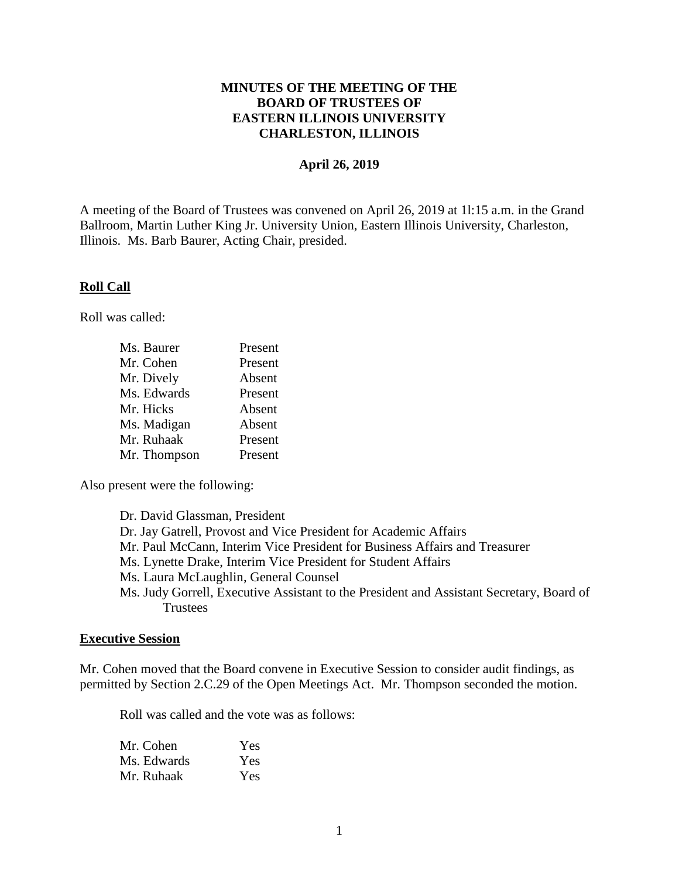## **MINUTES OF THE MEETING OF THE BOARD OF TRUSTEES OF EASTERN ILLINOIS UNIVERSITY CHARLESTON, ILLINOIS**

### **April 26, 2019**

A meeting of the Board of Trustees was convened on April 26, 2019 at 1l:15 a.m. in the Grand Ballroom, Martin Luther King Jr. University Union, Eastern Illinois University, Charleston, Illinois. Ms. Barb Baurer, Acting Chair, presided.

#### **Roll Call**

Roll was called:

| Ms. Baurer   | Present |
|--------------|---------|
| Mr. Cohen    | Present |
| Mr. Dively   | Absent  |
| Ms. Edwards  | Present |
| Mr. Hicks    | Absent  |
| Ms. Madigan  | Absent  |
| Mr. Ruhaak   | Present |
| Mr. Thompson | Present |

Also present were the following:

| Dr. David Glassman, President                                                            |
|------------------------------------------------------------------------------------------|
| Dr. Jay Gatrell, Provost and Vice President for Academic Affairs                         |
| Mr. Paul McCann, Interim Vice President for Business Affairs and Treasurer               |
| Ms. Lynette Drake, Interim Vice President for Student Affairs                            |
| Ms. Laura McLaughlin, General Counsel                                                    |
| Ms. Judy Gorrell, Executive Assistant to the President and Assistant Secretary, Board of |
| <b>Trustees</b>                                                                          |
|                                                                                          |

#### **Executive Session**

Mr. Cohen moved that the Board convene in Executive Session to consider audit findings, as permitted by Section 2.C.29 of the Open Meetings Act. Mr. Thompson seconded the motion.

Roll was called and the vote was as follows:

| Mr. Cohen   | Yes |
|-------------|-----|
| Ms. Edwards | Yes |
| Mr. Ruhaak  | Yes |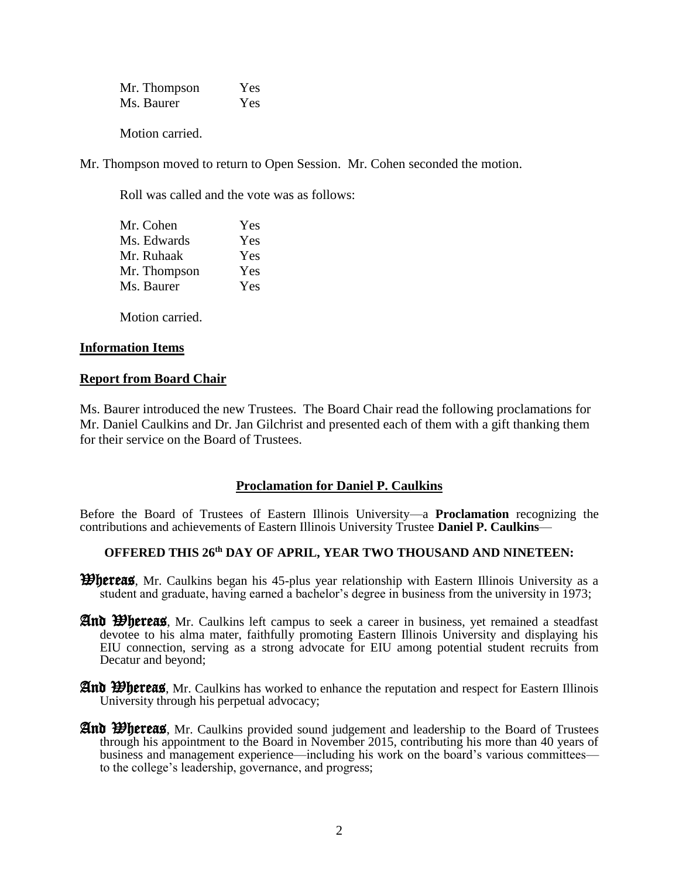Mr. Thompson Yes Ms. Baurer Yes

Motion carried.

Mr. Thompson moved to return to Open Session. Mr. Cohen seconded the motion.

Roll was called and the vote was as follows:

| Mr. Cohen    | Yes |
|--------------|-----|
| Ms. Edwards  | Yes |
| Mr. Ruhaak   | Yes |
| Mr. Thompson | Yes |
| Ms. Baurer   | Yes |

Motion carried.

## **Information Items**

## **Report from Board Chair**

Ms. Baurer introduced the new Trustees. The Board Chair read the following proclamations for Mr. Daniel Caulkins and Dr. Jan Gilchrist and presented each of them with a gift thanking them for their service on the Board of Trustees.

# **Proclamation for Daniel P. Caulkins**

Before the Board of Trustees of Eastern Illinois University—a **Proclamation** recognizing the contributions and achievements of Eastern Illinois University Trustee **Daniel P. Caulkins**—

## **OFFERED THIS 26th DAY OF APRIL, YEAR TWO THOUSAND AND NINETEEN:**

**Whereas**, Mr. Caulkins began his 45-plus year relationship with Eastern Illinois University as a student and graduate, having earned a bachelor's degree in business from the university in 1973;

- And Whereas, Mr. Caulkins left campus to seek a career in business, yet remained a steadfast devotee to his alma mater, faithfully promoting Eastern Illinois University and displaying his EIU connection, serving as a strong advocate for EIU among potential student recruits from Decatur and beyond;
- **And Whereas**, Mr. Caulkins has worked to enhance the reputation and respect for Eastern Illinois University through his perpetual advocacy;
- **And Whereas**, Mr. Caulkins provided sound judgement and leadership to the Board of Trustees through his appointment to the Board in November 2015, contributing his more than 40 years of business and management experience—including his work on the board's various committees to the college's leadership, governance, and progress;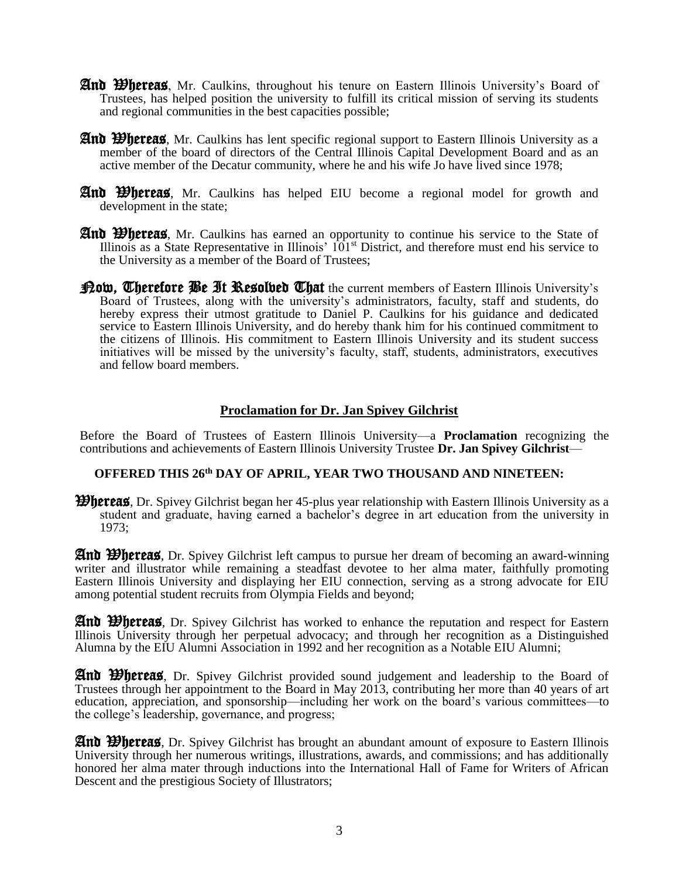- And Whereas, Mr. Caulkins, throughout his tenure on Eastern Illinois University's Board of Trustees, has helped position the university to fulfill its critical mission of serving its students and regional communities in the best capacities possible;
- **And Whereas**, Mr. Caulkins has lent specific regional support to Eastern Illinois University as a member of the board of directors of the Central Illinois Capital Development Board and as an active member of the Decatur community, where he and his wife Jo have lived since 1978;
- And Whereas, Mr. Caulkins has helped EIU become a regional model for growth and development in the state;
- And Whereas, Mr. Caulkins has earned an opportunity to continue his service to the State of Illinois as a State Representative in Illinois'  $101<sup>st</sup>$  District, and therefore must end his service to the University as a member of the Board of Trustees;
- **Prow, Cherefore Be It Resolved Chat** the current members of Eastern Illinois University's Board of Trustees, along with the university's administrators, faculty, staff and students, do hereby express their utmost gratitude to Daniel P. Caulkins for his guidance and dedicated service to Eastern Illinois University, and do hereby thank him for his continued commitment to the citizens of Illinois. His commitment to Eastern Illinois University and its student success initiatives will be missed by the university's faculty, staff, students, administrators, executives and fellow board members.

#### **Proclamation for Dr. Jan Spivey Gilchrist**

Before the Board of Trustees of Eastern Illinois University—a **Proclamation** recognizing the contributions and achievements of Eastern Illinois University Trustee **Dr. Jan Spivey Gilchrist**—

#### **OFFERED THIS 26th DAY OF APRIL, YEAR TWO THOUSAND AND NINETEEN:**

**Whereas**, Dr. Spivey Gilchrist began her 45-plus year relationship with Eastern Illinois University as a student and graduate, having earned a bachelor's degree in art education from the university in 1973;

And Whereas, Dr. Spivey Gilchrist left campus to pursue her dream of becoming an award-winning writer and illustrator while remaining a steadfast devotee to her alma mater, faithfully promoting Eastern Illinois University and displaying her EIU connection, serving as a strong advocate for EIU among potential student recruits from Olympia Fields and beyond;

**And Whereas**, Dr. Spivey Gilchrist has worked to enhance the reputation and respect for Eastern Illinois University through her perpetual advocacy; and through her recognition as a Distinguished Alumna by the EIU Alumni Association in 1992 and her recognition as a Notable EIU Alumni;

And Whereas, Dr. Spivey Gilchrist provided sound judgement and leadership to the Board of Trustees through her appointment to the Board in May 2013, contributing her more than 40 years of art education, appreciation, and sponsorship—including her work on the board's various committees—to the college's leadership, governance, and progress;

**And Whereas**, Dr. Spivey Gilchrist has brought an abundant amount of exposure to Eastern Illinois University through her numerous writings, illustrations, awards, and commissions; and has additionally honored her alma mater through inductions into the International Hall of Fame for Writers of African Descent and the prestigious Society of Illustrators;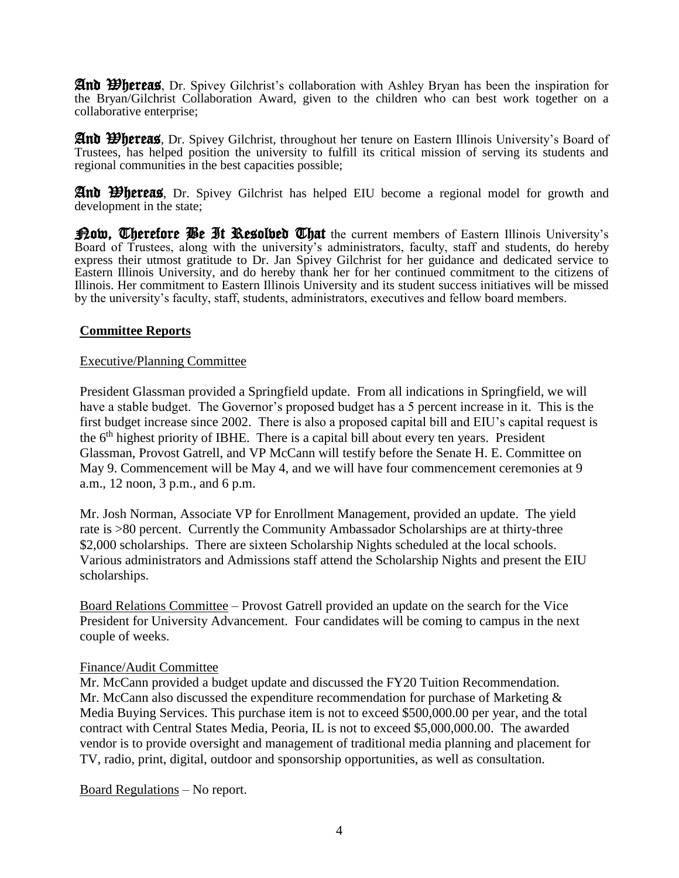**And Whereas**, Dr. Spivey Gilchrist's collaboration with Ashley Bryan has been the inspiration for the Bryan/Gilchrist Collaboration Award, given to the children who can best work together on a collaborative enterprise;

**And Whereas**, Dr. Spivey Gilchrist, throughout her tenure on Eastern Illinois University's Board of Trustees, has helped position the university to fulfill its critical mission of serving its students and regional communities in the best capacities possible;

**And Whereas**, Dr. Spivey Gilchrist has helped EIU become a regional model for growth and development in the state;

Pow, Therefore Be It Resolved That the current members of Eastern Illinois University's Board of Trustees, along with the university's administrators, faculty, staff and students, do hereby express their utmost gratitude to Dr. Jan Spivey Gilchrist for her guidance and dedicated service to Eastern Illinois University, and do hereby thank her for her continued commitment to the citizens of Illinois. Her commitment to Eastern Illinois University and its student success initiatives will be missed by the university's faculty, staff, students, administrators, executives and fellow board members.

## **Committee Reports**

## Executive/Planning Committee

President Glassman provided a Springfield update. From all indications in Springfield, we will have a stable budget. The Governor's proposed budget has a 5 percent increase in it. This is the first budget increase since 2002. There is also a proposed capital bill and EIU's capital request is the  $6<sup>th</sup>$  highest priority of IBHE. There is a capital bill about every ten years. President Glassman, Provost Gatrell, and VP McCann will testify before the Senate H. E. Committee on May 9. Commencement will be May 4, and we will have four commencement ceremonies at 9 a.m., 12 noon, 3 p.m., and 6 p.m.

Mr. Josh Norman, Associate VP for Enrollment Management, provided an update. The yield rate is >80 percent. Currently the Community Ambassador Scholarships are at thirty-three \$2,000 scholarships. There are sixteen Scholarship Nights scheduled at the local schools. Various administrators and Admissions staff attend the Scholarship Nights and present the EIU scholarships.

Board Relations Committee – Provost Gatrell provided an update on the search for the Vice President for University Advancement. Four candidates will be coming to campus in the next couple of weeks.

## Finance/Audit Committee

Mr. McCann provided a budget update and discussed the FY20 Tuition Recommendation. Mr. McCann also discussed the expenditure recommendation for purchase of Marketing & Media Buying Services. This purchase item is not to exceed \$500,000.00 per year, and the total contract with Central States Media, Peoria, IL is not to exceed \$5,000,000.00. The awarded vendor is to provide oversight and management of traditional media planning and placement for TV, radio, print, digital, outdoor and sponsorship opportunities, as well as consultation.

Board Regulations – No report.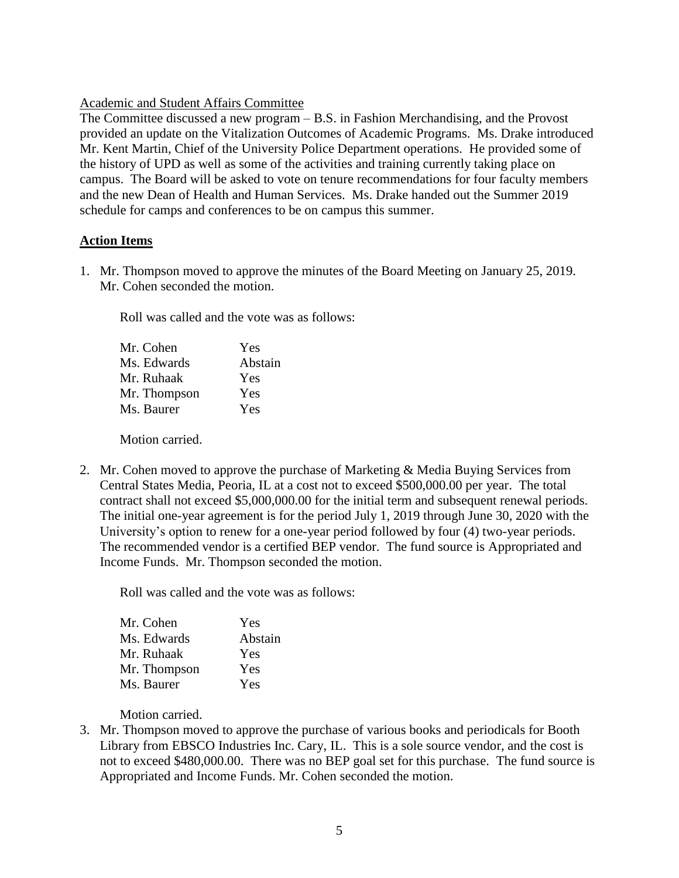## Academic and Student Affairs Committee

The Committee discussed a new program – B.S. in Fashion Merchandising, and the Provost provided an update on the Vitalization Outcomes of Academic Programs. Ms. Drake introduced Mr. Kent Martin, Chief of the University Police Department operations. He provided some of the history of UPD as well as some of the activities and training currently taking place on campus. The Board will be asked to vote on tenure recommendations for four faculty members and the new Dean of Health and Human Services. Ms. Drake handed out the Summer 2019 schedule for camps and conferences to be on campus this summer.

## **Action Items**

1. Mr. Thompson moved to approve the minutes of the Board Meeting on January 25, 2019. Mr. Cohen seconded the motion.

Roll was called and the vote was as follows:

| Mr. Cohen    | Yes     |
|--------------|---------|
| Ms. Edwards  | Abstain |
| Mr. Ruhaak   | Yes     |
| Mr. Thompson | Yes     |
| Ms. Baurer   | Yes     |
|              |         |

Motion carried.

2. Mr. Cohen moved to approve the purchase of Marketing & Media Buying Services from Central States Media, Peoria, IL at a cost not to exceed \$500,000.00 per year. The total contract shall not exceed \$5,000,000.00 for the initial term and subsequent renewal periods. The initial one-year agreement is for the period July 1, 2019 through June 30, 2020 with the University's option to renew for a one-year period followed by four (4) two-year periods. The recommended vendor is a certified BEP vendor. The fund source is Appropriated and Income Funds. Mr. Thompson seconded the motion.

Roll was called and the vote was as follows:

| Mr. Cohen    | Yes     |
|--------------|---------|
| Ms. Edwards  | Abstain |
| Mr. Ruhaak   | Yes     |
| Mr. Thompson | Yes     |
| Ms. Baurer   | Yes     |

Motion carried.

3. Mr. Thompson moved to approve the purchase of various books and periodicals for Booth Library from EBSCO Industries Inc. Cary, IL. This is a sole source vendor, and the cost is not to exceed \$480,000.00. There was no BEP goal set for this purchase. The fund source is Appropriated and Income Funds. Mr. Cohen seconded the motion.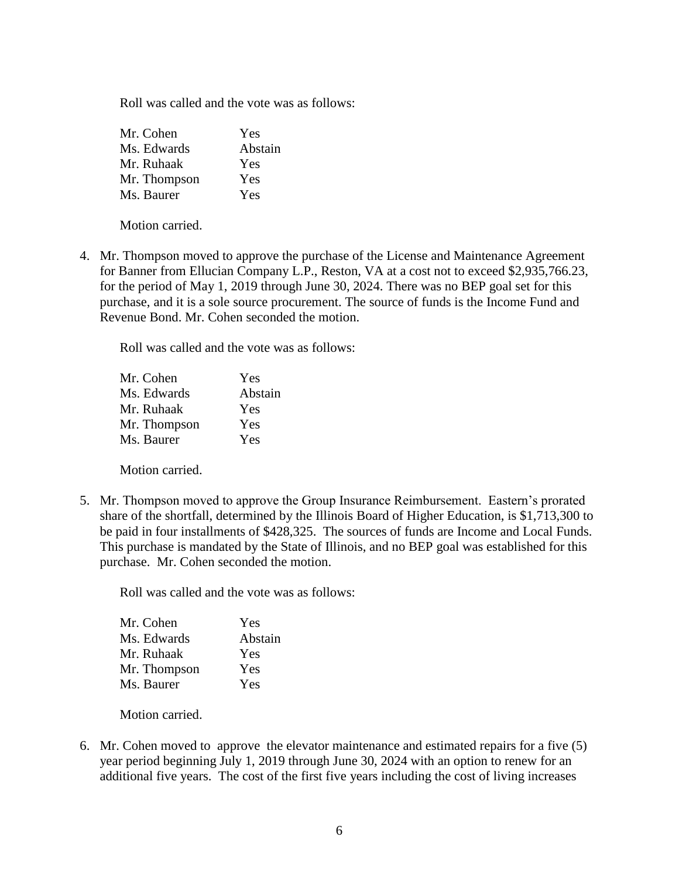Roll was called and the vote was as follows:

| Mr. Cohen    | Yes     |
|--------------|---------|
| Ms. Edwards  | Abstain |
| Mr. Ruhaak   | Yes     |
| Mr. Thompson | Yes     |
| Ms. Baurer   | Yes     |

Motion carried.

4. Mr. Thompson moved to approve the purchase of the License and Maintenance Agreement for Banner from Ellucian Company L.P., Reston, VA at a cost not to exceed \$2,935,766.23, for the period of May 1, 2019 through June 30, 2024. There was no BEP goal set for this purchase, and it is a sole source procurement. The source of funds is the Income Fund and Revenue Bond. Mr. Cohen seconded the motion.

Roll was called and the vote was as follows:

| Yes     |
|---------|
| Abstain |
| Yes     |
| Yes     |
| Yes     |
|         |

Motion carried.

5. Mr. Thompson moved to approve the Group Insurance Reimbursement. Eastern's prorated share of the shortfall, determined by the Illinois Board of Higher Education, is \$1,713,300 to be paid in four installments of \$428,325. The sources of funds are Income and Local Funds. This purchase is mandated by the State of Illinois, and no BEP goal was established for this purchase. Mr. Cohen seconded the motion.

Roll was called and the vote was as follows:

| Mr. Cohen    | Yes     |
|--------------|---------|
| Ms. Edwards  | Abstain |
| Mr. Ruhaak   | Yes     |
| Mr. Thompson | Yes     |
| Ms. Baurer   | Yes     |

Motion carried.

6. Mr. Cohen moved to approve the elevator maintenance and estimated repairs for a five (5) year period beginning July 1, 2019 through June 30, 2024 with an option to renew for an additional five years. The cost of the first five years including the cost of living increases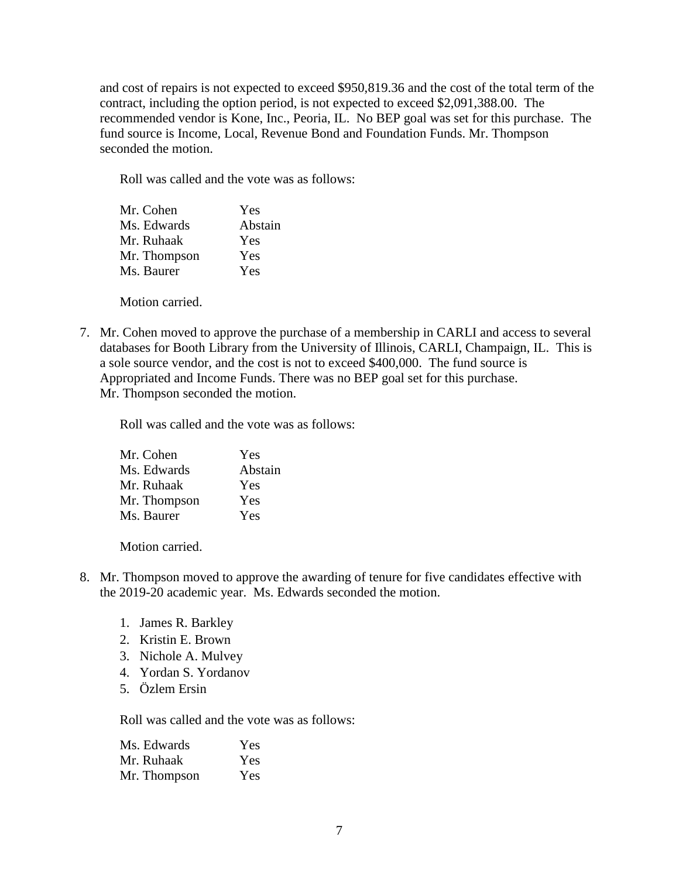and cost of repairs is not expected to exceed \$950,819.36 and the cost of the total term of the contract, including the option period, is not expected to exceed \$2,091,388.00. The recommended vendor is Kone, Inc., Peoria, IL. No BEP goal was set for this purchase. The fund source is Income, Local, Revenue Bond and Foundation Funds. Mr. Thompson seconded the motion.

Roll was called and the vote was as follows:

| Mr. Cohen    | Yes     |
|--------------|---------|
| Ms. Edwards  | Abstain |
| Mr. Ruhaak   | Yes     |
| Mr. Thompson | Yes     |
| Ms. Baurer   | Yes     |
|              |         |

Motion carried.

7. Mr. Cohen moved to approve the purchase of a membership in CARLI and access to several databases for Booth Library from the University of Illinois, CARLI, Champaign, IL. This is a sole source vendor, and the cost is not to exceed \$400,000. The fund source is Appropriated and Income Funds. There was no BEP goal set for this purchase. Mr. Thompson seconded the motion.

Roll was called and the vote was as follows:

| Mr. Cohen    | Yes     |
|--------------|---------|
| Ms. Edwards  | Abstain |
| Mr. Ruhaak   | Yes     |
| Mr. Thompson | Yes     |
| Ms. Baurer   | Yes     |

Motion carried.

- 8. Mr. Thompson moved to approve the awarding of tenure for five candidates effective with the 2019-20 academic year. Ms. Edwards seconded the motion.
	- 1. James R. Barkley
	- 2. Kristin E. Brown
	- 3. Nichole A. Mulvey
	- 4. Yordan S. Yordanov
	- 5. Özlem Ersin

Roll was called and the vote was as follows:

| Ms. Edwards  | Yes |
|--------------|-----|
| Mr. Ruhaak   | Yes |
| Mr. Thompson | Yes |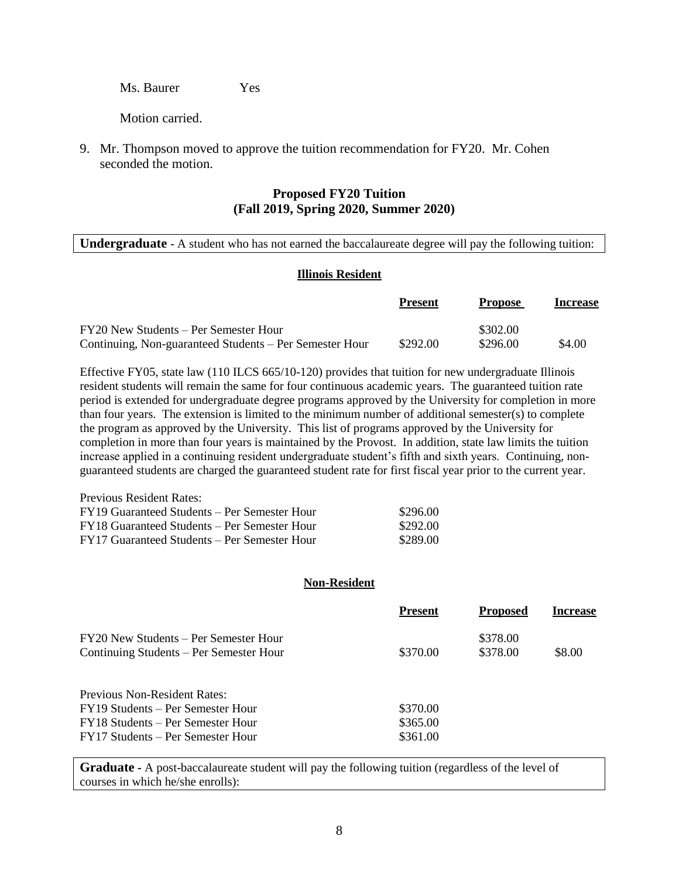Ms. Baurer Yes

Motion carried.

9. Mr. Thompson moved to approve the tuition recommendation for FY20. Mr. Cohen seconded the motion.

## **Proposed FY20 Tuition (Fall 2019, Spring 2020, Summer 2020)**

**Undergraduate** - A student who has not earned the baccalaureate degree will pay the following tuition:

#### **Illinois Resident**

|                                                         | <b>Present</b> | <b>Propose</b> | <b>Increase</b> |
|---------------------------------------------------------|----------------|----------------|-----------------|
| FY20 New Students – Per Semester Hour                   |                | \$302.00       |                 |
| Continuing, Non-guaranteed Students – Per Semester Hour | \$292.00       | \$296.00       | \$4.00          |

Effective FY05, state law (110 ILCS 665/10-120) provides that tuition for new undergraduate Illinois resident students will remain the same for four continuous academic years. The guaranteed tuition rate period is extended for undergraduate degree programs approved by the University for completion in more than four years. The extension is limited to the minimum number of additional semester(s) to complete the program as approved by the University. This list of programs approved by the University for completion in more than four years is maintained by the Provost. In addition, state law limits the tuition increase applied in a continuing resident undergraduate student's fifth and sixth years. Continuing, nonguaranteed students are charged the guaranteed student rate for first fiscal year prior to the current year.

| Previous Resident Rates:                     |          |
|----------------------------------------------|----------|
| FY19 Guaranteed Students – Per Semester Hour | \$296.00 |
| FY18 Guaranteed Students – Per Semester Hour | \$292.00 |
| FY17 Guaranteed Students – Per Semester Hour | \$289.00 |

#### **Non-Resident**

|                                                                                  | <b>Present</b> | <b>Proposed</b>      | <b>Increase</b> |
|----------------------------------------------------------------------------------|----------------|----------------------|-----------------|
| FY20 New Students – Per Semester Hour<br>Continuing Students – Per Semester Hour | \$370.00       | \$378.00<br>\$378.00 | \$8.00          |
| Previous Non-Resident Rates:                                                     |                |                      |                 |
| FY19 Students – Per Semester Hour                                                | \$370.00       |                      |                 |
| FY18 Students – Per Semester Hour                                                | \$365.00       |                      |                 |
| FY17 Students – Per Semester Hour                                                | \$361.00       |                      |                 |

**Graduate -** A post-baccalaureate student will pay the following tuition (regardless of the level of courses in which he/she enrolls):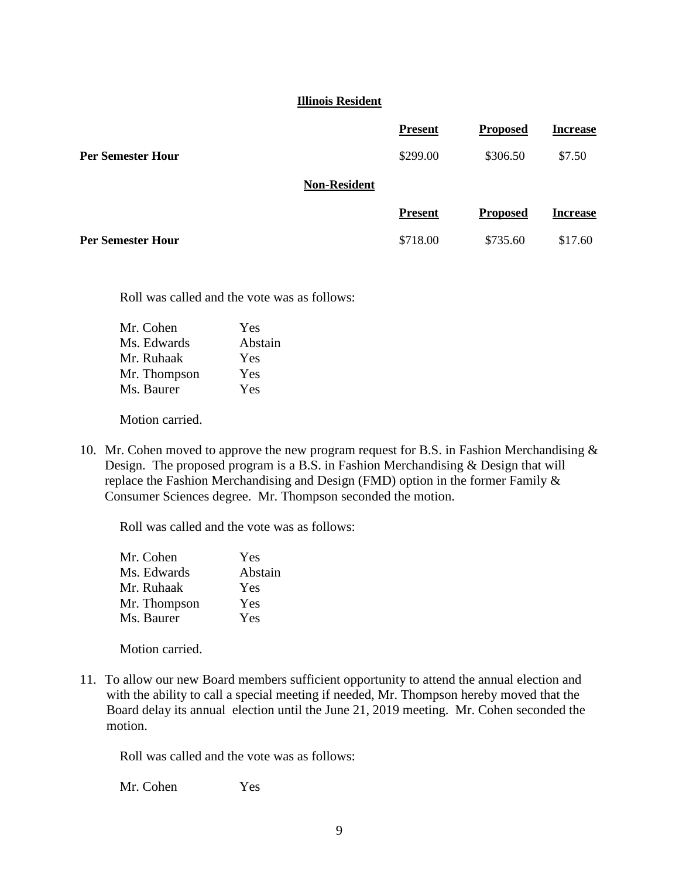#### **Illinois Resident**

|                          | <b>Present</b>      | <b>Proposed</b> | <b>Increase</b> |
|--------------------------|---------------------|-----------------|-----------------|
| <b>Per Semester Hour</b> | \$299.00            | \$306.50        | \$7.50          |
|                          | <b>Non-Resident</b> |                 |                 |
|                          | <b>Present</b>      | <b>Proposed</b> | <b>Increase</b> |
| <b>Per Semester Hour</b> | \$718.00            | \$735.60        | \$17.60         |

Roll was called and the vote was as follows:

| Abstain |
|---------|
|         |
|         |
|         |
|         |

Motion carried.

10. Mr. Cohen moved to approve the new program request for B.S. in Fashion Merchandising & Design. The proposed program is a B.S. in Fashion Merchandising & Design that will replace the Fashion Merchandising and Design (FMD) option in the former Family & Consumer Sciences degree. Mr. Thompson seconded the motion.

Roll was called and the vote was as follows:

| Mr. Cohen    | Yes     |
|--------------|---------|
| Ms. Edwards  | Abstain |
| Mr. Ruhaak   | Yes     |
| Mr. Thompson | Yes     |
| Ms. Baurer   | Yes     |

Motion carried.

11. To allow our new Board members sufficient opportunity to attend the annual election and with the ability to call a special meeting if needed, Mr. Thompson hereby moved that the Board delay its annual election until the June 21, 2019 meeting. Mr. Cohen seconded the motion.

Roll was called and the vote was as follows:

Mr. Cohen Yes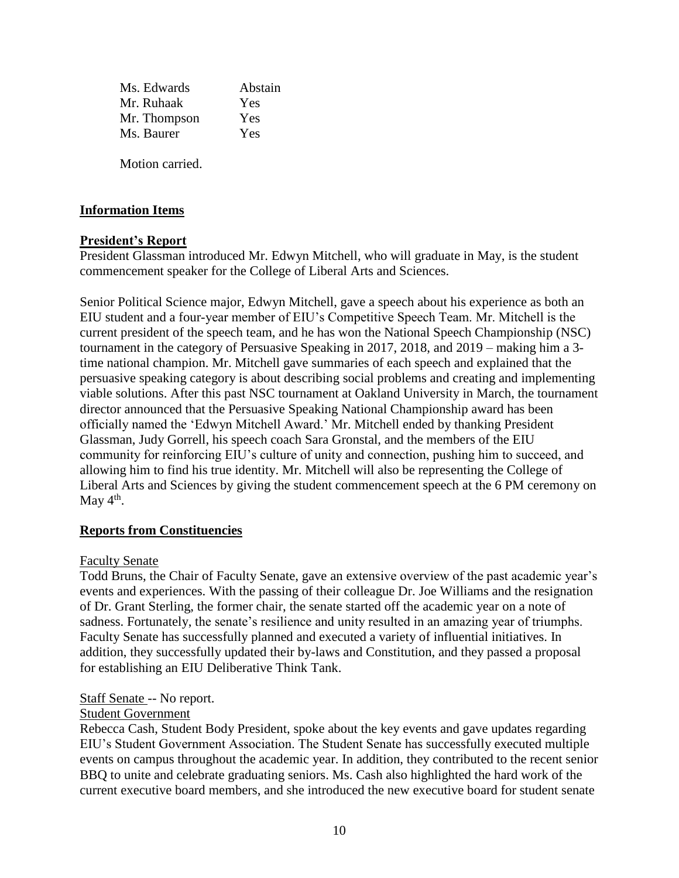| Ms. Edwards  | Abstain |
|--------------|---------|
| Mr. Ruhaak   | Yes     |
| Mr. Thompson | Yes     |
| Ms. Baurer   | Yes     |
|              |         |

Motion carried.

# **Information Items**

# **President's Report**

President Glassman introduced Mr. Edwyn Mitchell, who will graduate in May, is the student commencement speaker for the College of Liberal Arts and Sciences.

Senior Political Science major, Edwyn Mitchell, gave a speech about his experience as both an EIU student and a four-year member of EIU's Competitive Speech Team. Mr. Mitchell is the current president of the speech team, and he has won the National Speech Championship (NSC) tournament in the category of Persuasive Speaking in 2017, 2018, and 2019 – making him a 3 time national champion. Mr. Mitchell gave summaries of each speech and explained that the persuasive speaking category is about describing social problems and creating and implementing viable solutions. After this past NSC tournament at Oakland University in March, the tournament director announced that the Persuasive Speaking National Championship award has been officially named the 'Edwyn Mitchell Award.' Mr. Mitchell ended by thanking President Glassman, Judy Gorrell, his speech coach Sara Gronstal, and the members of the EIU community for reinforcing EIU's culture of unity and connection, pushing him to succeed, and allowing him to find his true identity. Mr. Mitchell will also be representing the College of Liberal Arts and Sciences by giving the student commencement speech at the 6 PM ceremony on May  $4^{\text{th}}$ .

# **Reports from Constituencies**

# Faculty Senate

Todd Bruns, the Chair of Faculty Senate, gave an extensive overview of the past academic year's events and experiences. With the passing of their colleague Dr. Joe Williams and the resignation of Dr. Grant Sterling, the former chair, the senate started off the academic year on a note of sadness. Fortunately, the senate's resilience and unity resulted in an amazing year of triumphs. Faculty Senate has successfully planned and executed a variety of influential initiatives. In addition, they successfully updated their by-laws and Constitution, and they passed a proposal for establishing an EIU Deliberative Think Tank.

# Staff Senate -- No report.

# Student Government

Rebecca Cash, Student Body President, spoke about the key events and gave updates regarding EIU's Student Government Association. The Student Senate has successfully executed multiple events on campus throughout the academic year. In addition, they contributed to the recent senior BBQ to unite and celebrate graduating seniors. Ms. Cash also highlighted the hard work of the current executive board members, and she introduced the new executive board for student senate